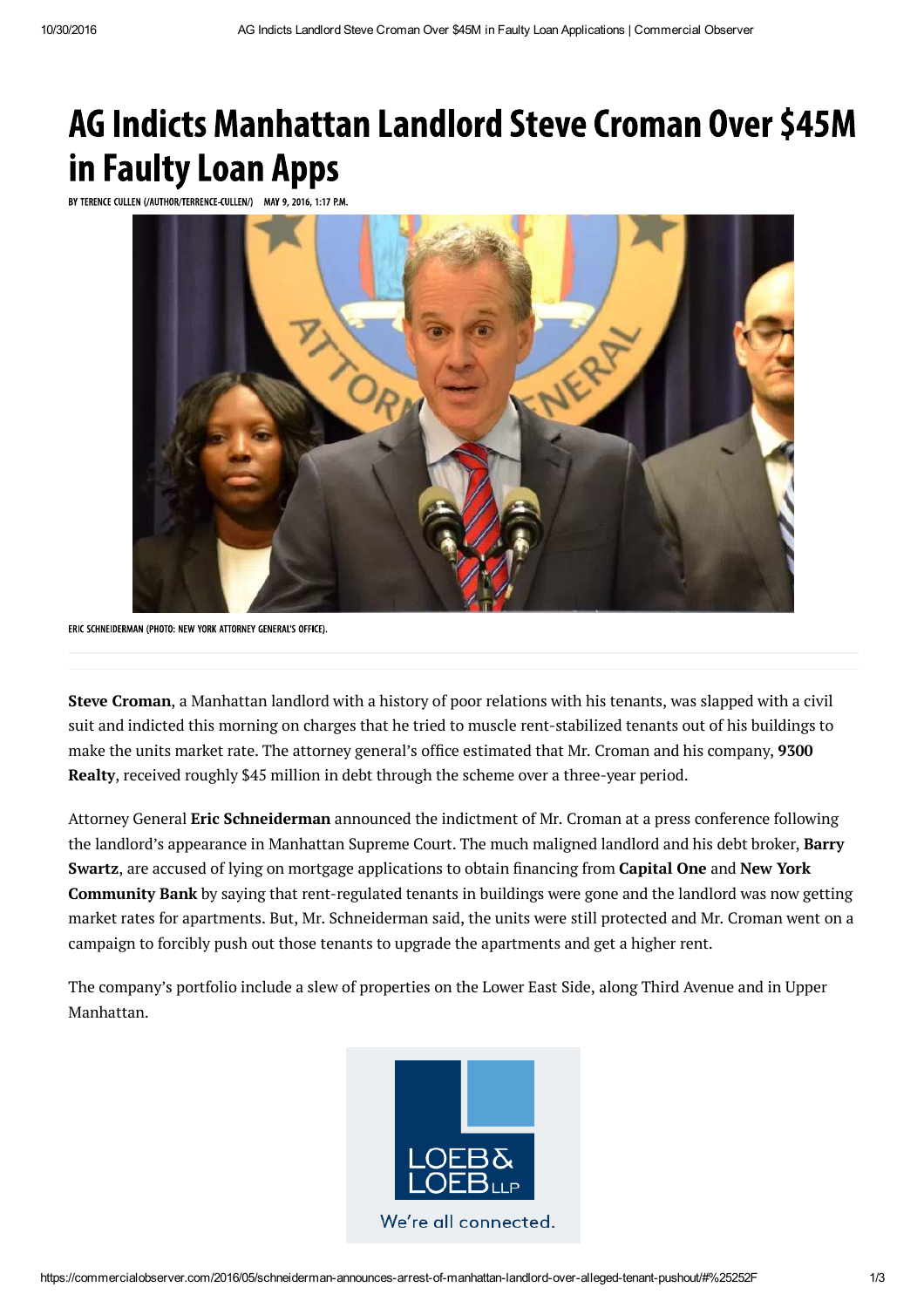## **AG Indicts Manhattan Landlord Steve Croman Over \$45M** in Faulty Loan Apps

BY TERENCE CULLEN (/AUTHOR/TERRENCE-CULLEN/) MAY 9, 2016, 1:17 P.M.



ERIC SCHNEIDERMAN (PHOTO: NEW YORK ATTORNEY GENERAL'S OFFICE).

**Steve Croman**, a Manhattan landlord with a history of poor relations with his tenants, was slapped with a civil suit and indicted this morning on charges that he tried to muscle rent-stabilized tenants out of his buildings to make the units market rate. The attorney general's office estimated that Mr. Croman and his company, **9300 Realty**, received roughly \$45 million in debt through the scheme over a three-year period.

Attorney General **Eric Schneiderman** announced the indictment of Mr. Croman at a press conference following the landlord's appearance in Manhattan Supreme Court. The much maligned landlord and his debt broker, **Barry Swartz**, are accused of lying on mortgage applications to obtain financing from **Capital One** and **New York Community Bank** by saying that rent-regulated tenants in buildings were gone and the landlord was now getting market rates for apartments. But, Mr. Schneiderman said, the units were still protected and Mr. Croman went on a campaign to forcibly push out those tenants to upgrade the apartments and get a higher rent.

The company's portfolio include a slew of properties on the Lower East Side, along Third Avenue and in Upper Manhattan.

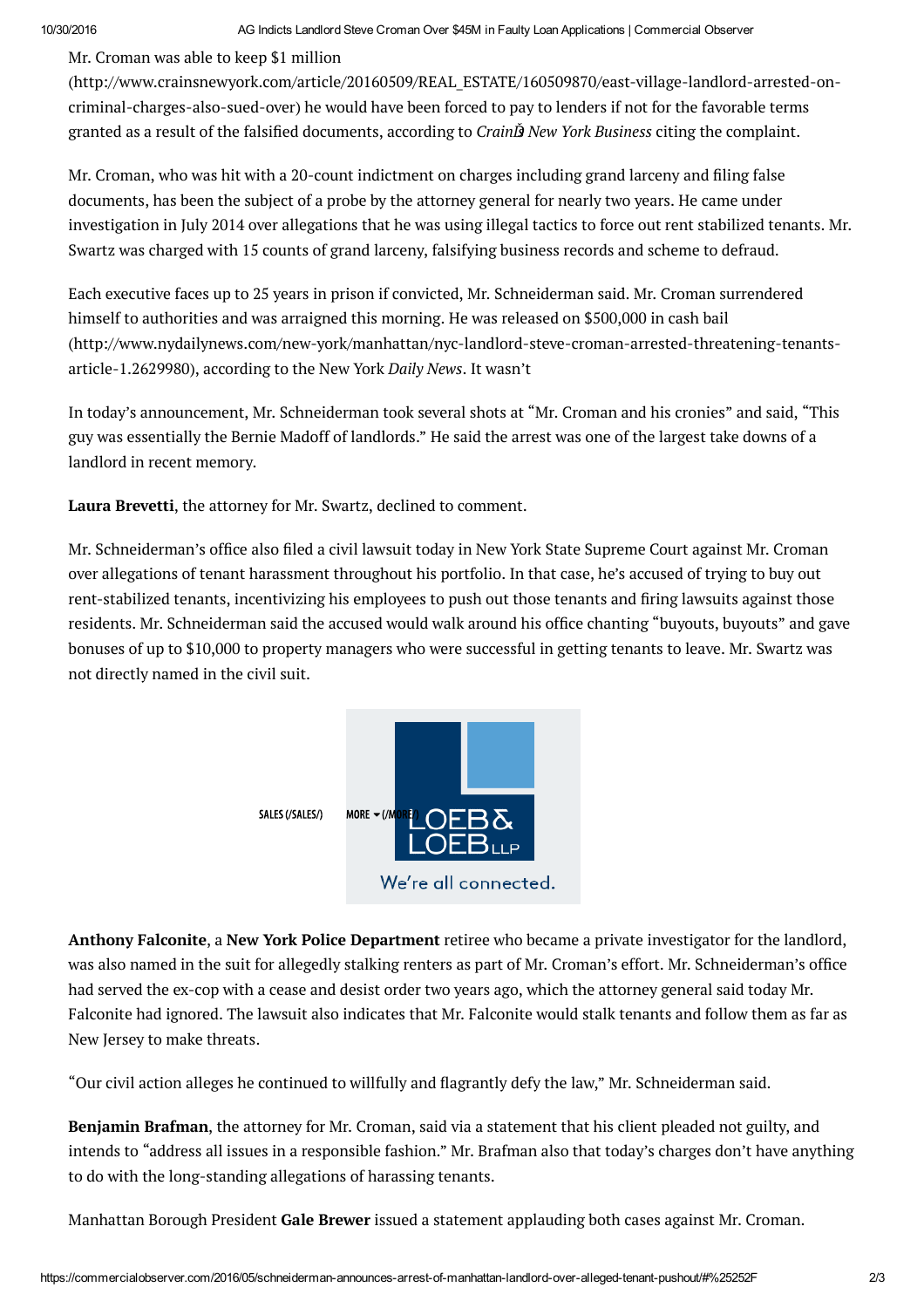Mr. Croman was able to keep \$1 million

(http://www.crainsnewyork.com/article/20160509/REAL\_ESTATE/160509870/east-village-landlord-arrested-oncriminal-charges-also-sued-over) he would have been forced to pay to lenders if not for the favorable terms granted as a result of the falsified documents, according to *CrainĎs New York Business* citing the complaint.

Mr. Croman, who was hit with a 20-count indictment on charges including grand larceny and filing false documents, has been the subject of a probe by the attorney general for nearly two years. He came under investigation in July 2014 over allegations that he was using illegal tactics to force out rent stabilized tenants. Mr. Swartz was charged with 15 counts of grand larceny, falsifying business records and scheme to defraud.

Each executive faces up to 25 years in prison if convicted, Mr. Schneiderman said. Mr. Croman surrendered himself to authorities and was arraigned this morning. He was released on \$500,000 in cash bail (http://www.nydailynews.com/new-york/manhattan/nyc-landlord-steve-croman-arrested-threatening-tenantsarticle-1.2629980), according to the New York *Daily News*. It wasn't

In today's announcement, Mr. Schneiderman took several shots at "Mr. Croman and his cronies" and said, "This guy was essentially the Bernie Madoff of landlords." He said the arrest was one of the largest take downs of a landlord in recent memory.

**Laura Brevetti**, the attorney for Mr. Swartz, declined to comment.

Mr. Schneiderman's office also filed a civil lawsuit today in New York State Supreme Court against Mr. Croman over allegations of tenant harassment throughout his portfolio. In that case, he's accused of trying to buy out rent-stabilized tenants, incentivizing his employees to push out those tenants and firing lawsuits against those residents. Mr. Schneiderman said the accused would walk around his office chanting "buyouts, buyouts" and gave bonuses of up to \$10,000 to property managers who were successful in getting tenants to leave. Mr. Swartz was not directly named in the civil suit.



**Anthony Falconite**, a **New York Police Department** retiree who became a private investigator for the landlord, was also named in the suit for allegedly stalking renters as part of Mr. Croman's effort. Mr. Schneiderman's office had served the ex-cop with a cease and desist order two years ago, which the attorney general said today Mr. Falconite had ignored. The lawsuit also indicates that Mr. Falconite would stalk tenants and follow them as far as New Jersey to make threats.

"Our civil action alleges he continued to willfully and flagrantly defy the law," Mr. Schneiderman said.

**Benjamin Brafman**, the attorney for Mr. Croman, said via a statement that his client pleaded not guilty, and intends to "address all issues in a responsible fashion." Mr. Brafman also that today's charges don't have anything to do with the long-standing allegations of harassing tenants.

Manhattan Borough President **Gale Brewer** issued a statement applauding both cases against Mr. Croman.